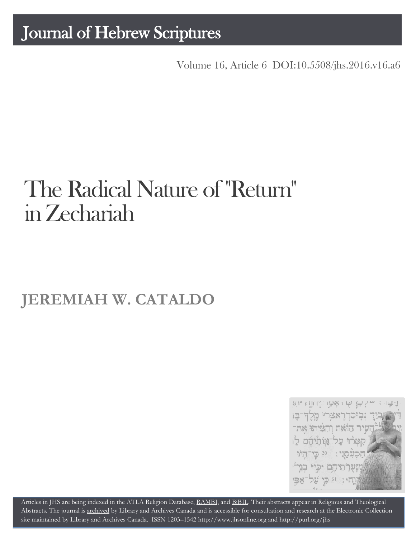## Journal of Hebrew Scriptures

Volume 16, Article 6 [DOI:10.5508/jhs.2016.v16.a6](http://dx.doi.org/10.5508/jhs.2016.v16.a6)

# The Radical Nature of "Return" in Zechariah

## **JEREMIAH W. CATALDO**



Articles in JHS are being indexed in the ATLA Religion Database, [RAMBI,](http://jnul.huji.ac.il/rambi/) and [BiBIL.](http://bibil.net/) Their abstracts appear in Religious and Theological Abstracts. The journal is [archived](http://epe.lac-bac.gc.ca/100/201/300/journal_hebrew/index.html) by Library and Archives Canada and is accessible for consultation and research at the Electronic Collection site maintained by [Library and Archives Canada.](http://collectionscanada.ca/electroniccollection/003008-200-e.html) ISSN 1203–154[2 http://www.jhsonline.org](http://www.jhsonline.org/) and<http://purl.org/jhs>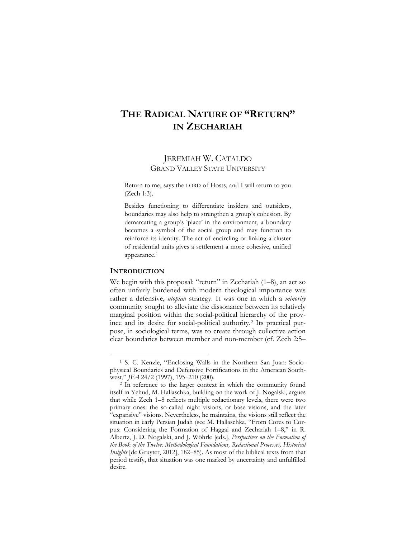### **THE RADICAL NATURE OF "RETURN" IN ZECHARIAH**

#### JEREMIAH W. CATALDO GRAND VALLEY STATE UNIVERSITY

Return to me, says the LORD of Hosts, and I will return to you (Zech 1:3).

Besides functioning to differentiate insiders and outsiders, boundaries may also help to strengthen a group's cohesion. By demarcating a group's 'place' in the environment, a boundary becomes a symbol of the social group and may function to reinforce its identity. The act of encircling or linking a cluster of residential units gives a settlement a more cohesive, unified appearance.[1](#page-1-0)

#### **INTRODUCTION**

 $\overline{a}$ 

We begin with this proposal: "return" in Zechariah (1–8), an act so often unfairly burdened with modern theological importance was rather a defensive, *utopian* strategy. It was one in which a *minority* community sought to alleviate the dissonance between its relatively marginal position within the social-political hierarchy of the province and its desire for social-political authority.[2](#page-1-1) Its practical purpose, in sociological terms, was to create through collective action clear boundaries between member and non-member (cf. Zech 2:5–

<span id="page-1-0"></span><sup>1</sup> S. C. Kenzle, "Enclosing Walls in the Northern San Juan: Sociophysical Boundaries and Defensive Fortifications in the American Southwest," *JFA* 24/2 (1997), 195–210 (200).

<span id="page-1-1"></span><sup>2</sup> In reference to the larger context in which the community found itself in Yehud, M. Hallaschka, building on the work of J. Nogalski, argues that while Zech 1–8 reflects multiple redactionary levels, there were two primary ones: the so-called night visions, or base visions, and the later "expansive" visions. Nevertheless, he maintains, the visions still reflect the situation in early Persian Judah (see M. Hallaschka, "From Cores to Corpus: Considering the Formation of Haggai and Zechariah 1–8," in R. Albertz, J. D. Nogalski, and J. Wöhrle [eds.], *Perspectives on the Formation of the Book of the Twelve: Methodological Foundations, Redactional Processes, Historical Insights* [de Gruyter, 2012], 182–85). As most of the biblical texts from that period testify, that situation was one marked by uncertainty and unfulfilled desire.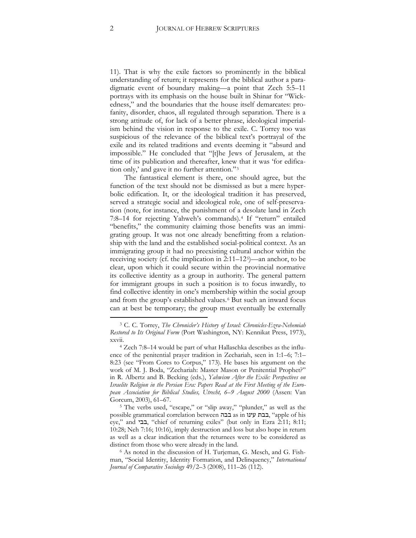11). That is why the exile factors so prominently in the biblical understanding of return; it represents for the biblical author a paradigmatic event of boundary making—a point that Zech 5:5–11 portrays with its emphasis on the house built in Shinar for "Wickedness," and the boundaries that the house itself demarcates: profanity, disorder, chaos, all regulated through separation. There is a strong attitude of, for lack of a better phrase, ideological imperialism behind the vision in response to the exile. C. Torrey too was suspicious of the relevance of the biblical text's portrayal of the exile and its related traditions and events deeming it "absurd and impossible." He concluded that "[t]he Jews of Jerusalem, at the time of its publication and thereafter, knew that it was 'for edification only,' and gave it no further attention."[3](#page-2-0)

The fantastical element is there, one should agree, but the function of the text should not be dismissed as but a mere hyperbolic edification. It, or the ideological tradition it has preserved, served a strategic social and ideological role, one of self-preservation (note, for instance, the punishment of a desolate land in Zech 7:8–14 for rejecting Yahweh's commands).[4](#page-2-1) If "return" entailed "benefits," the community claiming those benefits was an immigrating group. It was not one already benefitting from a relationship with the land and the established social-political context. As an immigrating group it had no preexisting cultural anchor within the receiving society (cf. the implication in 2:11–12[5](#page-2-2))—an anchor, to be clear, upon which it could secure within the provincial normative its collective identity as a group in authority. The general pattern for immigrant groups in such a position is to focus inwardly, to find collective identity in one's membership within the social group and from the group's established values.[6](#page-2-3) But such an inward focus can at best be temporary; the group must eventually be externally

<span id="page-2-0"></span><sup>3</sup> C. C. Torrey, *The Chronicler's History of Israel: Chronicles-Ezra-Nehemiah Restored to Its Original Form* (Port Washington, NY: Kennikat Press, 1973), xxvii.

<span id="page-2-1"></span><sup>4</sup> Zech 7:8–14 would be part of what Hallaschka describes as the influence of the penitential prayer tradition in Zechariah, seen in 1:1–6; 7:1– 8:23 (see "From Cores to Corpus," 173). He bases his argument on the work of M. J. Boda, "Zechariah: Master Mason or Penitential Prophet?" in R. Albertz and B. Becking (eds.), *Yahwism After the Exile: Perspectives on Israelite Religion in the Persian Era: Papers Read at the First Meeting of the European Association for Biblical Studies, Utrecht, 6–9 August 2000* (Assen: Van Gorcum, 2003), 61–67.

<span id="page-2-2"></span><sup>5</sup> The verbs used, "escape," or "slip away," "plunder," as well as the possible grammatical correlation between בבה as in עינו בבת," apple of his eye," and בבי," chief of returning exiles" (but only in Ezra 2:11; 8:11; 10:28; Neh 7:16; 10:16), imply destruction and loss but also hope in return as well as a clear indication that the returnees were to be considered as distinct from those who were already in the land.

<span id="page-2-3"></span><sup>6</sup> As noted in the discussion of H. Turjeman, G. Mesch, and G. Fishman, "Social Identity, Identity Formation, and Delinquency," *International Journal of Comparative Sociology* 49/2–3 (2008), 111–26 (112).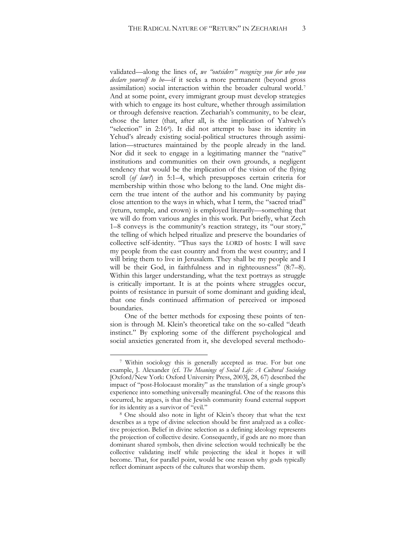validated—along the lines of, *we "outsiders" recognize you for who you declare yourself to be*—if it seeks a more permanent (beyond gross assimilation) social interaction within the broader cultural world.[7](#page-3-0) And at some point, every immigrant group must develop strategies with which to engage its host culture, whether through assimilation or through defensive reaction. Zechariah's community, to be clear, chose the latter (that, after all, is the implication of Yahweh's "selection" in 2:16[8\)](#page-3-1). It did not attempt to base its identity in Yehud's already existing social-political structures through assimilation—structures maintained by the people already in the land. Nor did it seek to engage in a legitimating manner the "native" institutions and communities on their own grounds, a negligent tendency that would be the implication of the vision of the flying scroll (*of law?*) in 5:1–4, which presupposes certain criteria for membership within those who belong to the land. One might discern the true intent of the author and his community by paying close attention to the ways in which, what I term, the "sacred triad" (return, temple, and crown) is employed literarily—something that we will do from various angles in this work. Put briefly, what Zech 1–8 conveys is the community's reaction strategy, its "our story," the telling of which helped ritualize and preserve the boundaries of collective self-identity. "Thus says the LORD of hosts: I will save my people from the east country and from the west country; and I will bring them to live in Jerusalem. They shall be my people and I will be their God, in faithfulness and in righteousness" (8:7–8). Within this larger understanding, what the text portrays as struggle is critically important. It is at the points where struggles occur, points of resistance in pursuit of some dominant and guiding ideal, that one finds continued affirmation of perceived or imposed boundaries.

One of the better methods for exposing these points of tension is through M. Klein's theoretical take on the so-called "death instinct." By exploring some of the different psychological and social anxieties generated from it, she developed several methodo-

<span id="page-3-0"></span><sup>7</sup> Within sociology this is generally accepted as true. For but one example, J. Alexander (cf. *The Meanings of Social Life: A Cultural Sociology* [Oxford/New York: Oxford University Press, 2003], 28, 67) described the impact of "post-Holocaust morality" as the translation of a single group's experience into something universally meaningful. One of the reasons this occurred, he argues, is that the Jewish community found external support for its identity as a survivor of "evil."

<span id="page-3-1"></span><sup>8</sup> One should also note in light of Klein's theory that what the text describes as a type of divine selection should be first analyzed as a collective projection. Belief in divine selection as a defining ideology represents the projection of collective desire. Consequently, if gods are no more than dominant shared symbols, then divine selection would technically be the collective validating itself while projecting the ideal it hopes it will become. That, for parallel point, would be one reason why gods typically reflect dominant aspects of the cultures that worship them.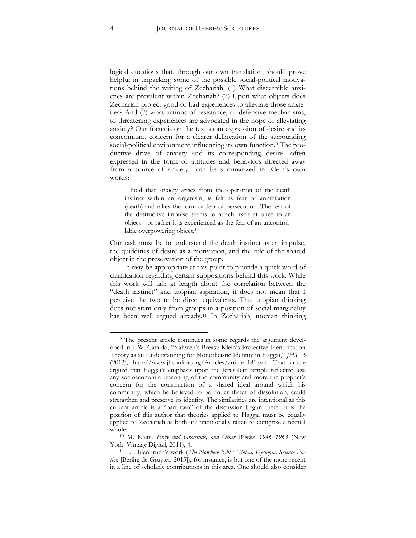logical questions that, through our own translation, should prove helpful in unpacking some of the possible social-political motivations behind the writing of Zechariah: (1) What discernible anxieties are prevalent within Zechariah? (2) Upon what objects does Zechariah project good or bad experiences to alleviate those anxieties? And (3) what actions of resistance, or defensive mechanisms, to threatening experiences are advocated in the hope of alleviating anxiety? Our focus is on the text as an expression of desire and its concomitant concern for a clearer delineation of the surrounding social-political environment influencing its own function.<sup>[9](#page-4-0)</sup> The productive drive of anxiety and its corresponding desire—often expressed in the form of attitudes and behaviors directed away from a source of anxiety—can be summarized in Klein's own words:

I hold that anxiety arises from the operation of the death instinct within an organism, is felt as fear of annihilation (death) and takes the form of fear of persecution. The fear of the destructive impulse seems to attach itself at once to an object—or rather it is experienced as the fear of an uncontrol-lable overpowering object.<sup>[10](#page-4-1)</sup>

Our task must be to understand the death instinct as an impulse, the quiddities of desire as a motivation, and the role of the shared object in the preservation of the group.

It may be appropriate at this point to provide a quick word of clarification regarding certain suppositions behind this work. While this work will talk at length about the correlation between the "death instinct" and utopian aspiration, it does not mean that I perceive the two to be direct equivalents. That utopian thinking does not stem only from groups in a position of social marginality has been well argued already.[11](#page-4-2) In Zechariah, utopian thinking

<span id="page-4-0"></span><sup>&</sup>lt;sup>9</sup> The present article continues in some regards the argument developed in J. W. Cataldo, "Yahweh's Breast: Klein's Projective Identification Theory as an Understanding for Monotheistic Identity in Haggai," *JHS* 13 (2013), http://www.jhsonline.org/Articles/article\_181.pdf. That article argued that Haggai's emphasis upon the Jerusalem temple reflected less any socioeconomic reasoning of the community and more the prophet's concern for the construction of a shared ideal around which his community, which he believed to be under threat of dissolution, could strengthen and preserve its identity. The similarities are intentional as this current article is a "part two" of the discussion begun there. It is the position of this author that theories applied to Haggai must be equally applied to Zechariah as both are traditionally taken to comprise a textual whole.

<span id="page-4-1"></span><sup>10</sup> M. Klein, *Envy and Gratitude, and Other Works, 1946–1963* (New York: Vintage Digital, 2011), 4.

<span id="page-4-2"></span><sup>11</sup> F. Uhlenbruch's work (*The Nowhere Bible: Utopia, Dystopia, Science Fiction* [Berlin: de Gruyter, 2015]), for instance, is but one of the more recent in a line of scholarly contributions in this area. One should also consider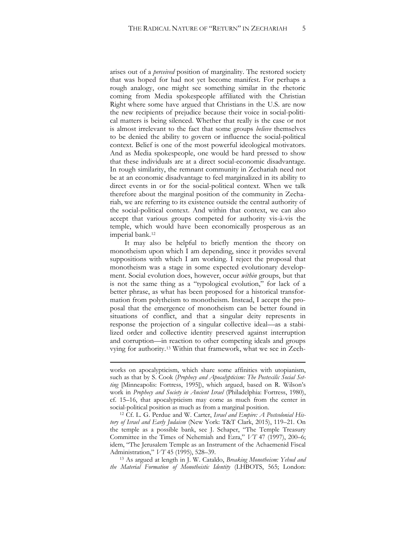arises out of a *perceived* position of marginality. The restored society that was hoped for had not yet become manifest. For perhaps a rough analogy, one might see something similar in the rhetoric coming from Media spokespeople affiliated with the Christian Right where some have argued that Christians in the U.S. are now the new recipients of prejudice because their voice in social-political matters is being silenced. Whether that really is the case or not is almost irrelevant to the fact that some groups *believe* themselves to be denied the ability to govern or influence the social-political context. Belief is one of the most powerful ideological motivators. And as Media spokespeople, one would be hard pressed to show that these individuals are at a direct social-economic disadvantage. In rough similarity, the remnant community in Zechariah need not be at an economic disadvantage to feel marginalized in its ability to direct events in or for the social-political context. When we talk therefore about the marginal position of the community in Zechariah, we are referring to its existence outside the central authority of the social-political context. And within that context, we can also accept that various groups competed for authority vis-à-vis the temple, which would have been economically prosperous as an imperial bank.[12](#page-5-0)

It may also be helpful to briefly mention the theory on monotheism upon which I am depending, since it provides several suppositions with which I am working. I reject the proposal that monotheism was a stage in some expected evolutionary development. Social evolution does, however, occur *within* groups, but that is not the same thing as a "typological evolution," for lack of a better phrase, as what has been proposed for a historical transformation from polytheism to monotheism. Instead, I accept the proposal that the emergence of monotheism can be better found in situations of conflict, and that a singular deity represents in response the projection of a singular collective ideal—as a stabilized order and collective identity preserved against interruption and corruption—in reaction to other competing ideals and groups vying for authority.[13](#page-5-1) Within that framework, what we see in Zech-

 $\overline{a}$ 

<span id="page-5-1"></span><sup>13</sup> As argued at length in J. W. Cataldo, *Breaking Monotheism: Yehud and the Material Formation of Monotheistic Identity* (LHBOTS, 565; London:

works on apocalypticism, which share some affinities with utopianism, such as that by S. Cook (*Prophecy and Apocalypticism: The Postexilic Social Setting* [Minneapolis: Fortress, 1995]), which argued, based on R. Wilson's work in *Prophecy and Society in Ancient Israel* (Philadelphia: Fortress, 1980), cf. 15–16, that apocalypticism may come as much from the center in social-political position as much as from a marginal position.

<span id="page-5-0"></span><sup>12</sup> Cf. L. G. Perdue and W. Carter, *Israel and Empire: A Postcolonial History of Israel and Early Judaism* (New York: T&T Clark, 2015), 119–21. On the temple as a possible bank, see J. Schaper, "The Temple Treasury Committee in the Times of Nehemiah and Ezra," *VT* 47 (1997), 200–6; idem, "The Jerusalem Temple as an Instrument of the Achaemenid Fiscal Administration," *VT* 45 (1995), 528–39.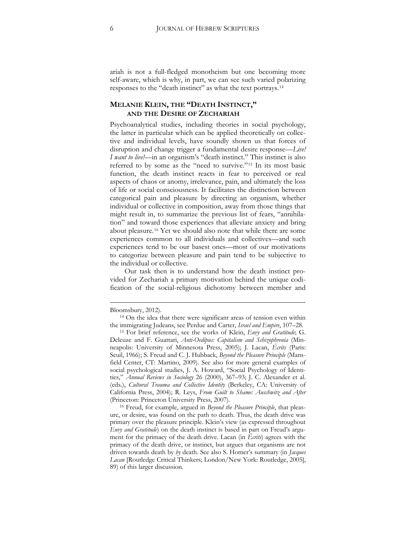ariah is not a full-fledged monotheism but one becoming more self-aware, which is why, in part, we can see such varied polarizing responses to the "death instinct" as what the text portrays.[14](#page-6-0)

#### **MELANIE KLEIN, THE "DEATH INSTINCT," AND THE DESIRE OF ZECHARIAH**

Psychoanalytical studies, including theories in social psychology, the latter in particular which can be applied theoretically on collective and individual levels, have soundly shown us that forces of disruption and change trigger a fundamental desire response—*Live! I want to live!*—in an organism's "death instinct." This instinct is also referred to by some as the "need to survive."[15](#page-6-1) In its most basic function, the death instinct reacts in fear to perceived or real aspects of chaos or anomy, irrelevance, pain, and ultimately the loss of life or social consciousness. It facilitates the distinction between categorical pain and pleasure by directing an organism, whether individual or collective in composition, away from those things that might result in, to summarize the previous list of fears, "annihilation" and toward those experiences that alleviate anxiety and bring about pleasure.[16](#page-6-2) Yet we should also note that while there are some experiences common to all individuals and collectives—and such experiences tend to be our basest ones—most of our motivations to categorize between pleasure and pain tend to be subjective to the individual or collective.

Our task then is to understand how the death instinct provided for Zechariah a primary motivation behind the unique codification of the social-religious dichotomy between member and

Bloomsbury, 2012).

<span id="page-6-0"></span><sup>14</sup> On the idea that there were significant areas of tension even within the immigrating Judeans, see Perdue and Carter, *Israel and Empire*, 107–28.

<span id="page-6-1"></span><sup>15</sup> For brief reference, see the works of Klein, *Envy and Gratitude*; G. Deleuze and F. Guattari, *Anti-Oedipus: Capitalism and Schizophrenia* (Minneapolis: University of Minnesota Press, 2005); J. Lacan, *Écrits* (Paris: Seuil, 1966); S. Freud and C. J. Hubback, *Beyond the Pleasure Principle* (Mansfield Center, CT: Martino, 2009). See also for more general examples of social psychological studies, J. A. Howard, "Social Psychology of Identities," *Annual Reviews in Sociology* 26 (2000), 367–93; J. C. Alexander et al. (eds.), *Cultural Trauma and Collective Identity* (Berkeley, CA: University of California Press, 2004); R. Leys, *From Guilt to Shame: Auschwitz and After* (Princeton: Princeton University Press, 2007).

<span id="page-6-2"></span><sup>16</sup> Freud, for example, argued in *Beyond the Pleasure Principle*, that pleasure, or desire, was found on the path to death. Thus, the death drive was primary over the pleasure principle. Klein's view (as expressed throughout *Envy and Gratitude*) on the death instinct is based in part on Freud's argument for the primacy of the death drive. Lacan (in *Écrits*) agrees with the primacy of the death drive, or instinct, but argues that organisms are not driven towards death by *by* death. See also S. Homer's summary (in *Jacques Lacan* [Routledge Critical Thinkers; London/New York: Routledge, 2005], 89) of this larger discussion.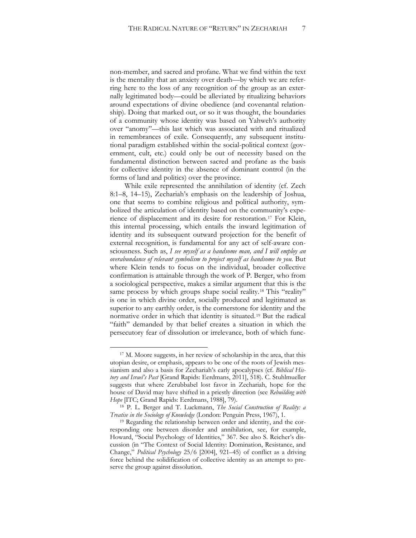non-member, and sacred and profane. What we find within the text is the mentality that an anxiety over death—by which we are referring here to the loss of any recognition of the group as an externally legitimated body—could be alleviated by ritualizing behaviors around expectations of divine obedience (and covenantal relationship). Doing that marked out, or so it was thought, the boundaries of a community whose identity was based on Yahweh's authority over "anomy"—this last which was associated with and ritualized in remembrances of exile. Consequently, any subsequent institutional paradigm established within the social-political context (government, cult, etc.) could only be out of necessity based on the fundamental distinction between sacred and profane as the basis for collective identity in the absence of dominant control (in the forms of land and politics) over the province.

While exile represented the annihilation of identity (cf. Zech 8:1–8, 14–15), Zechariah's emphasis on the leadership of Joshua, one that seems to combine religious and political authority, symbolized the articulation of identity based on the community's expe-rience of displacement and its desire for restoration.<sup>[17](#page-7-0)</sup> For Klein, this internal processing, which entails the inward legitimation of identity and its subsequent outward projection for the benefit of external recognition, is fundamental for any act of self-aware consciousness. Such as, *I see myself as a handsome man, and I will employ an overabundance of relevant symbolism to project myself as handsome to you.* But where Klein tends to focus on the individual, broader collective confirmation is attainable through the work of P. Berger, who from a sociological perspective, makes a similar argument that this is the same process by which groups shape social reality.<sup>[18](#page-7-1)</sup> This "reality" is one in which divine order, socially produced and legitimated as superior to any earthly order, is the cornerstone for identity and the normative order in which that identity is situated.[19](#page-7-2) But the radical "faith" demanded by that belief creates a situation in which the persecutory fear of dissolution or irrelevance, both of which func-

<span id="page-7-0"></span><sup>17</sup> M. Moore suggests, in her review of scholarship in the area, that this utopian desire, or emphasis, appears to be one of the roots of Jewish messianism and also a basis for Zechariah's early apocalypses (cf. *Biblical History and Israel's Past* [Grand Rapids: Eerdmans, 2011], 518). C. Stuhlmueller suggests that where Zerubbabel lost favor in Zechariah, hope for the house of David may have shifted in a priestly direction (see *Rebuilding with Hope* [ITC; Grand Rapids: Eerdmans, 1988], 79).

<span id="page-7-1"></span><sup>18</sup> P. L. Berger and T. Luckmann, *The Social Construction of Reality: a Treatise in the Sociology of Knowledge* (London: Penguin Press, 1967), 1.

<span id="page-7-2"></span><sup>&</sup>lt;sup>19</sup> Regarding the relationship between order and identity, and the corresponding one between disorder and annihilation, see, for example, Howard, "Social Psychology of Identities," 367. See also S. Reicher's discussion (in "The Context of Social Identity: Domination, Resistance, and Change," *Political Psychology* 25/6 [2004], 921–45) of conflict as a driving force behind the solidification of collective identity as an attempt to preserve the group against dissolution.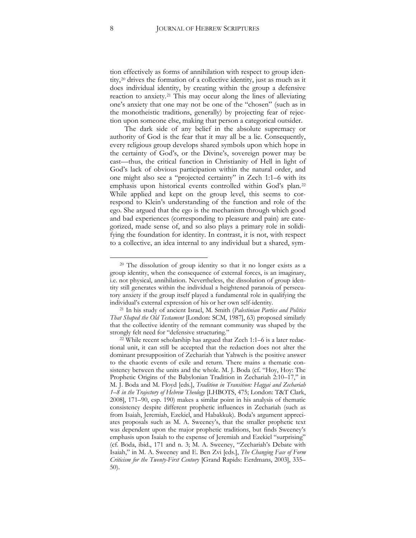tion effectively as forms of annihilation with respect to group identity,[20](#page-8-0) drives the formation of a collective identity, just as much as it does individual identity, by creating within the group a defensive reaction to anxiety.[21](#page-8-1) This may occur along the lines of alleviating one's anxiety that one may not be one of the "chosen" (such as in the monotheistic traditions, generally) by projecting fear of rejection upon someone else, making that person a categorical outsider.

The dark side of any belief in the absolute supremacy or authority of God is the fear that it may all be a lie. Consequently, every religious group develops shared symbols upon which hope in the certainty of God's, or the Divine's, sovereign power may be cast—thus, the critical function in Christianity of Hell in light of God's lack of obvious participation within the natural order, and one might also see a "projected certainty" in Zech 1:1–6 with its emphasis upon historical events controlled within God's plan.[22](#page-8-2) While applied and kept on the group level, this seems to correspond to Klein's understanding of the function and role of the ego. She argued that the ego is the mechanism through which good and bad experiences (corresponding to pleasure and pain) are categorized, made sense of, and so also plays a primary role in solidifying the foundation for identity. In contrast, it is not, with respect to a collective, an idea internal to any individual but a shared, sym-

<span id="page-8-0"></span><sup>&</sup>lt;sup>20</sup> The dissolution of group identity so that it no longer exists as a group identity, when the consequence of external forces, is an imaginary, i.e. not physical, annihilation. Nevertheless, the dissolution of group identity still generates within the individual a heightened paranoia of persecutory anxiety if the group itself played a fundamental role in qualifying the individual's external expression of his or her own self-identity.

<span id="page-8-1"></span><sup>21</sup> In his study of ancient Israel, M. Smith (*Palestinian Parties and Politics That Shaped the Old Testament* [London: SCM, 1987], 63) proposed similarly that the collective identity of the remnant community was shaped by the strongly felt need for "defensive structuring."

<span id="page-8-2"></span><sup>22</sup> While recent scholarship has argued that Zech 1:1–6 is a later redactional unit, it can still be accepted that the redaction does not alter the dominant presupposition of Zechariah that Yahweh is the positive answer to the chaotic events of exile and return. There mains a thematic consistency between the units and the whole. M. J. Boda (cf. "Hoy, Hoy: The Prophetic Origins of the Babylonian Tradition in Zechariah 2:10–17," in M. J. Boda and M. Floyd [eds.], *Tradition in Transition: Haggai and Zechariah 1–8 in the Trajectory of Hebrew Theology* [LHBOTS, 475; London: T&T Clark, 2008], 171–90, esp. 190) makes a similar point in his analysis of thematic consistency despite different prophetic influences in Zechariah (such as from Isaiah, Jeremiah, Ezekiel, and Habakkuk). Boda's argument appreciates proposals such as M. A. Sweeney's, that the smaller prophetic text was dependent upon the major prophetic traditions, but finds Sweeney's emphasis upon Isaiah to the expense of Jeremiah and Ezekiel "surprising" (cf. Boda, ibid., 171 and n. 3; M. A. Sweeney, "Zechariah's Debate with Isaiah," in M. A. Sweeney and E. Ben Zvi [eds.], *The Changing Face of Form Criticism for the Twenty-First Century* [Grand Rapids: Eerdmans, 2003], 335– 50).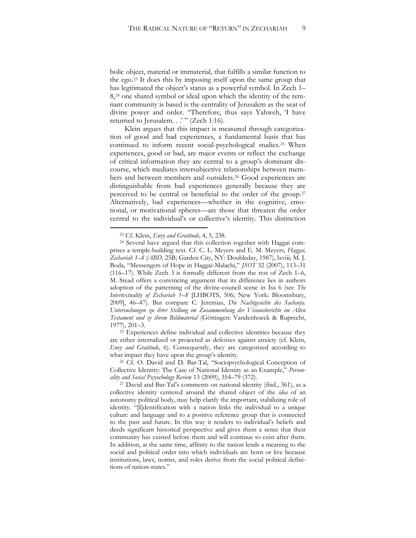bolic object, material or immaterial, that fulfills a similar function to the ego.[23](#page-9-0) It does this by imposing itself upon the same group that has legitimated the object's status as a powerful symbol. In Zech 1– 8,[24](#page-9-1) one shared symbol or ideal upon which the identity of the remnant community is based is the centrality of Jerusalem as the seat of divine power and order. "Therefore, thus says Yahweh, 'I have returned to Jerusalem...'" (Zech 1:16).

Klein argues that this impact is measured through categorization of good and bad experiences, a fundamental basis that has continued to inform recent social-psychological studies.[25](#page-9-2) When experiences, good or bad, are major events or reflect the exchange of critical information they are central to a group's dominant discourse, which mediates intersubjective relationships between members and between members and outsiders.[26](#page-9-3) Good experiences are distinguishable from bad experiences generally because they are perceived to be central or beneficial to the order of the group.[27](#page-9-4) Alternatively, bad experiences—whether in the cognitive, emotional, or motivational spheres—are those that threaten the order central to the individual's or collective's identity. This distinction

 $\overline{a}$ 

<span id="page-9-2"></span><sup>25</sup> Experiences define individual and collective identities because they are either internalized or projected as defenses against anxiety (cf. Klein, *Envy and Gratitude*, 6). Consequently, they are categorized according to what impact they have upon the group's identity.

<span id="page-9-3"></span><sup>26</sup> Cf. O. David and D. Bar-Tal, "Sociopsychological Conception of Collective Identity: The Case of National Identity as an Example," *Personality and Social Pscyochology Review* 13 (2009), 354–79 (372).

<sup>23</sup> Cf. Klein, *Envy and Gratitude*, 4, 5, 238.

<span id="page-9-1"></span><span id="page-9-0"></span><sup>24</sup> Several have argued that this collection together with Haggai comprises a temple-building text. Cf. C. L. Meyers and E. M. Meyers, *Haggai, Zechariah 1–8 (ABD,* 25B; Garden City, NY: Doubleday, 1987), lxviii; M. J. Boda, "Messengers of Hope in Haggai-Malachi," *JSOT* 32 (2007), 113–31 (116–17). While Zech 3 is formally different from the rest of Zech 1–6, M. Stead offers a convincing argument that its difference lies in authors adoption of the patterning of the divine-council scene in Isa 6 (see *The Intertextuality of Zechariah 1–8* [LHBOTS, 506; New York: Bloomsbury, 2009], 46–47). But compare C. Jeremias, *Die Nachtgesichte des Sacharja. Untersuchungen zu ihrer Stellung im Zusammenhang der Visionsberichte im Alten Testament und ze ihrem Bildmaterial* (Göttingen: Vandenhoeck & Ruprecht, 1977), 201–3.

<span id="page-9-4"></span><sup>27</sup> David and Bar-Tal's comments on national identity (ibid., 361), as a collective identity centered around the shared object of the *idea* of an autonomy political body, may help clarify the important, stabilizing role of identity. "[I]dentification with a nation links the individual to a unique culture and language and to a positive reference group that is connected to the past and future. In this way it renders to individual's beliefs and deeds significant historical perspective and gives them a sense that their community has existed before them and will continue to exist after them. In addition, at the same time, affinity to the nation lends a meaning to the social and political order into which individuals are born or live because institutions, laws, norms, and roles derive from the social political definitions of nation-states."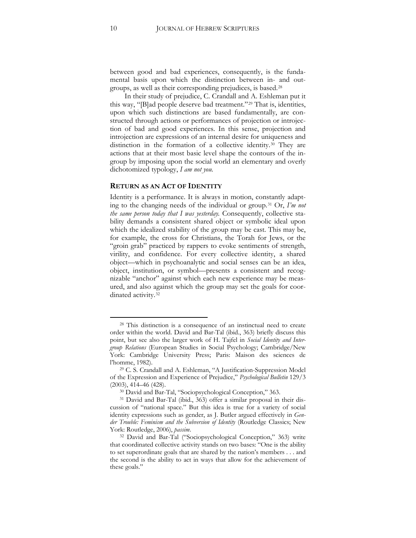between good and bad experiences, consequently, is the fundamental basis upon which the distinction between in- and outgroups, as well as their corresponding prejudices, is based.[28](#page-10-0)

In their study of prejudice, C. Crandall and A. Eshleman put it this way, "[B]ad people deserve bad treatment."[29](#page-10-1) That is, identities, upon which such distinctions are based fundamentally, are constructed through actions or performances of projection or introjection of bad and good experiences. In this sense, projection and introjection are expressions of an internal desire for uniqueness and distinction in the formation of a collective identity.[30](#page-10-2) They are actions that at their most basic level shape the contours of the ingroup by imposing upon the social world an elementary and overly dichotomized typology, *I am not you.*

#### **RETURN AS AN ACT OF IDENTITY**

Identity is a performance. It is always in motion, constantly adapting to the changing needs of the individual or group.[31](#page-10-3) Or, *I'm not the same person today that I was yesterday.* Consequently, collective stability demands a consistent shared object or symbolic ideal upon which the idealized stability of the group may be cast. This may be, for example, the cross for Christians, the Torah for Jews, or the "groin grab" practiced by rappers to evoke sentiments of strength, virility, and confidence. For every collective identity, a shared object—which in psychoanalytic and social senses can be an idea, object, institution, or symbol—presents a consistent and recognizable "anchor" against which each new experience may be measured, and also against which the group may set the goals for coor-dinated activity.<sup>[32](#page-10-4)</sup>

<span id="page-10-0"></span><sup>28</sup> This distinction is a consequence of an instinctual need to create order within the world. David and Bar-Tal (ibid., 363) briefly discuss this point, but see also the larger work of H. Tajfel in *Social Identity and Intergroup Relations* (European Studies in Social Psychology; Cambridge/New York: Cambridge University Press; Paris: Maison des sciences de l'homme, 1982).

<span id="page-10-1"></span><sup>29</sup> C. S. Crandall and A. Eshleman, "A Justification-Suppression Model of the Expression and Experience of Prejudice," *Psychological Bulletin* 129/3 (2003), 414–46 (428).

<sup>30</sup> David and Bar-Tal, "Sociopsychological Conception," 363.

<span id="page-10-3"></span><span id="page-10-2"></span><sup>31</sup> David and Bar-Tal (ibid., 363) offer a similar proposal in their discussion of "national space." But this idea is true for a variety of social identity expressions such as gender, as J. Butler argued effectively in *Gender Trouble: Feminism and the Subversion of Identity* (Routledge Classics; New York: Routledge, 2006), *passim*.

<span id="page-10-4"></span><sup>32</sup> David and Bar-Tal ("Sociopsychological Conception," 363) write that coordinated collective activity stands on two bases: "One is the ability to set superordinate goals that are shared by the nation's members . . . and the second is the ability to act in ways that allow for the achievement of these goals."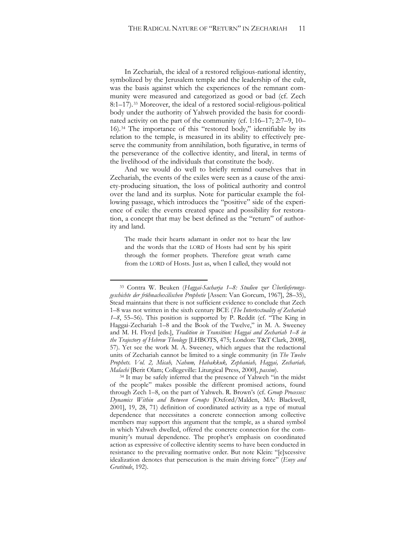In Zechariah, the ideal of a restored religious-national identity, symbolized by the Jerusalem temple and the leadership of the cult, was the basis against which the experiences of the remnant community were measured and categorized as good or bad (cf. Zech 8:1–17).[33](#page-11-0) Moreover, the ideal of a restored social-religious-political body under the authority of Yahweh provided the basis for coordinated activity on the part of the community (cf. 1:16–17; 2:7–9, 10– 16).[34](#page-11-1) The importance of this "restored body," identifiable by its relation to the temple, is measured in its ability to effectively preserve the community from annihilation, both figurative, in terms of the perseverance of the collective identity, and literal, in terms of the livelihood of the individuals that constitute the body.

And we would do well to briefly remind ourselves that in Zechariah, the events of the exiles were seen as a cause of the anxiety-producing situation, the loss of political authority and control over the land and its surplus. Note for particular example the following passage, which introduces the "positive" side of the experience of exile: the events created space and possibility for restoration, a concept that may be best defined as the "return" of authority and land.

The made their hearts adamant in order not to hear the law and the words that the LORD of Hosts had sent by his spirit through the former prophets. Therefore great wrath came from the LORD of Hosts. Just as, when I called, they would not

<span id="page-11-0"></span><sup>33</sup> Contra W. Beuken (*Haggai-Sacharja 1–8: Studien zur Überlieferungsgeschichte der frühnachexilischen Prophetie* [Assen: Van Gorcum, 1967], 28–35), Stead maintains that there is not sufficient evidence to conclude that Zech 1–8 was not written in the sixth century BCE (*The Intertextuality of Zechariah 1–8*, 55–56). This position is supported by P. Reddit (cf. "The King in Haggai-Zechariah 1–8 and the Book of the Twelve," in M. A. Sweeney and M. H. Floyd [eds.], *Tradition in Transition: Haggai and Zechariah 1–8 in the Trajectory of Hebrew Theology* [LHBOTS, 475; London: T&T Clark, 2008], 57). Yet see the work M. A. Sweeney, which argues that the redactional units of Zechariah cannot be limited to a single community (in *The Twelve Prophets. Vol. 2, Micah, Nahum, Habakkuk, Zephaniah, Haggai, Zechariah, Malachi* [Berit Olam; Collegeville: Liturgical Press, 2000], *passim*).

<span id="page-11-1"></span><sup>&</sup>lt;sup>34</sup> It may be safely inferred that the presence of Yahweh "in the midst of the people" makes possible the different promised actions, found through Zech 1–8, on the part of Yahweh. R. Brown's (cf. *Group Processes: Dynamics Within and Between Groups* [Oxford/Malden, MA: Blackwell, 2001], 19, 28, 71) definition of coordinated activity as a type of mutual dependence that necessitates a concrete connection among collective members may support this argument that the temple, as a shared symbol in which Yahweh dwelled, offered the concrete connection for the community's mutual dependence. The prophet's emphasis on coordinated action as expressive of collective identity seems to have been conducted in resistance to the prevailing normative order. But note Klein: "[e]xcessive idealization denotes that persecution is the main driving force" (*Envy and Gratitude*, 192).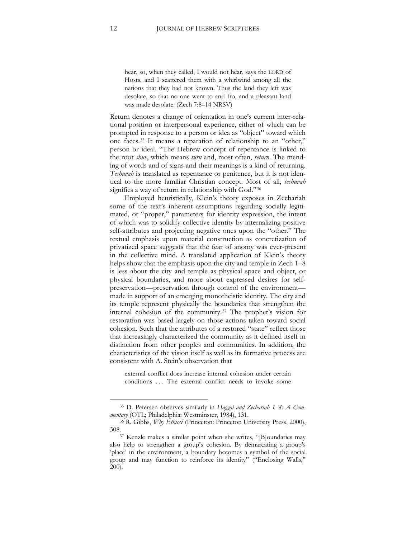hear, so, when they called, I would not hear, says the LORD of Hosts, and I scattered them with a whirlwind among all the nations that they had not known. Thus the land they left was desolate, so that no one went to and fro, and a pleasant land was made desolate. (Zech 7:8–14 NRSV)

Return denotes a change of orientation in one's current inter-relational position or interpersonal experience, either of which can be prompted in response to a person or idea as "object" toward which one faces.[35](#page-12-0) It means a reparation of relationship to an "other," person or ideal. "The Hebrew concept of repentance is linked to the root *shuv*, which means *turn* and, most often, *return*. The mending of words and of signs and their meanings is a kind of returning. *Teshuvah* is translated as repentance or penitence, but it is not identical to the more familiar Christian concept. Most of all, *teshuvah* signifies a way of return in relationship with God."[36](#page-12-1)

Employed heuristically, Klein's theory exposes in Zechariah some of the text's inherent assumptions regarding socially legitimated, or "proper," parameters for identity expression, the intent of which was to solidify collective identity by internalizing positive self-attributes and projecting negative ones upon the "other." The textual emphasis upon material construction as concretization of privatized space suggests that the fear of anomy was ever-present in the collective mind. A translated application of Klein's theory helps show that the emphasis upon the city and temple in Zech 1–8 is less about the city and temple as physical space and object, or physical boundaries, and more about expressed desires for selfpreservation—preservation through control of the environment made in support of an emerging monotheistic identity. The city and its temple represent physically the boundaries that strengthen the internal cohesion of the community.[37](#page-12-2) The prophet's vision for restoration was based largely on those actions taken toward social cohesion. Such that the attributes of a restored "state" reflect those that increasingly characterized the community as it defined itself in distinction from other peoples and communities. In addition, the characteristics of the vision itself as well as its formative process are consistent with A. Stein's observation that

external conflict does increase internal cohesion under certain conditions . . . The external conflict needs to invoke some

<span id="page-12-0"></span><sup>35</sup> D. Petersen observes similarly in *Haggai and Zechariah 1–8: A Commentary* (OTL; Philadelphia: Westminster, 1984), 131.

<span id="page-12-1"></span><sup>36</sup> R. Gibbs, *Why Ethics?* (Princeton: Princeton University Press, 2000), 308.37 Kenzle makes a similar point when she writes, "[B]oundaries may

<span id="page-12-2"></span>also help to strengthen a group's cohesion. By demarcating a group's 'place' in the environment, a boundary becomes a symbol of the social group and may function to reinforce its identity" ("Enclosing Walls," 200).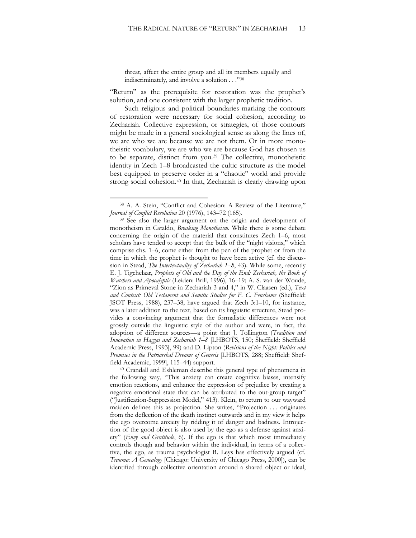threat, affect the entire group and all its members equally and indiscriminately, and involve a solution . . ."[38](#page-13-0)

"Return" as the prerequisite for restoration was the prophet's solution, and one consistent with the larger prophetic tradition.

Such religious and political boundaries marking the contours of restoration were necessary for social cohesion, according to Zechariah. Collective expression, or strategies, of those contours might be made in a general sociological sense as along the lines of, we are who we are because we are not them. Or in more monotheistic vocabulary, we are who we are because God has chosen us to be separate, distinct from you.[39](#page-13-1) The collective, monotheistic identity in Zech 1–8 broadcasted the cultic structure as the model best equipped to preserve order in a "chaotic" world and provide strong social cohesion.[40](#page-13-2) In that, Zechariah is clearly drawing upon

<span id="page-13-0"></span><sup>38</sup> A. A. Stein, "Conflict and Cohesion: A Review of the Literature," *Journal of Conflict Resolution* 20 (1976), 143–72 (165).

<span id="page-13-1"></span><sup>39</sup> See also the larger argument on the origin and development of monotheism in Cataldo, *Breaking Monotheism*. While there is some debate concerning the origin of the material that constitutes Zech 1–6, most scholars have tended to accept that the bulk of the "night visions," which comprise chs. 1–6, come either from the pen of the prophet or from the time in which the prophet is thought to have been active (cf. the discussion in Stead, *The Intertextuality of Zechariah 1–8*, 43). While some, recently E. J. Tigchelaar, *Prophets of Old and the Day of the End: Zechariah, the Book of Watchers and Apocalyptic* (Leiden: Brill, 1996), 16–19; A. S. van der Woude, "Zion as Primeval Stone in Zechariah 3 and 4," in W. Claasen (ed.), *Text and Context: Old Testament and Semitic Studies for F. C. Fenshame* (Sheffield: JSOT Press, 1988), 237–38, have argued that Zech 3:1–10, for instance, was a later addition to the text, based on its linguistic structure, Stead provides a convincing argument that the formalistic differences were not grossly outside the linguistic style of the author and were, in fact, the adoption of different sources—a point that J. Tollington (*Tradition and Innovation in Haggai and Zechariah 1–8* [LHBOTS, 150; Sheffield: Sheffield Academic Press, 1993], 99) and D. Lipton (*Revisions of the Night: Politics and Promises in the Patriarchal Dreams of Genesis* [LHBOTS, 288; Sheffield: Sheffield Academic, 1999], 115–44) support.

<span id="page-13-2"></span><sup>40</sup> Crandall and Eshleman describe this general type of phenomena in the following way, "This anxiety can create cognitive biases, intensify emotion reactions, and enhance the expression of prejudice by creating a negative emotional state that can be attributed to the out-group target" ("Justification-Suppression Model," 413). Klein, to return to our wayward maiden defines this as projection. She writes, "Projection . . . originates from the deflection of the death instinct outwards and in my view it helps the ego overcome anxiety by ridding it of danger and badness. Introjection of the good object is also used by the ego as a defense against anxiety" (*Envy and Gratitude*, 6). If the ego is that which most immediately controls though and behavior within the individual, in terms of a collective, the ego, as trauma psychologist R. Leys has effectively argued (cf. *Trauma: A Genealogy* [Chicago: University of Chicago Press, 2000]), can be identified through collective orientation around a shared object or ideal,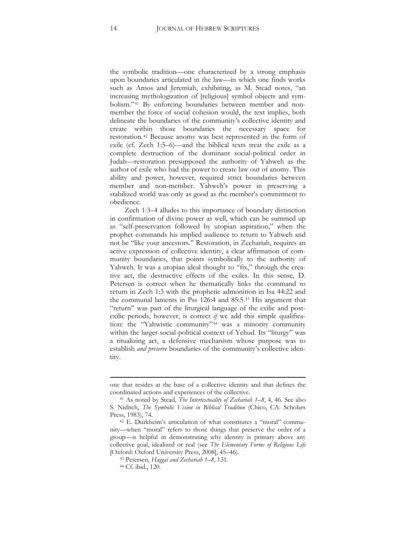the symbolic tradition—one characterized by a strong emphasis upon boundaries articulated in the law—in which one finds works such as Amos and Jeremiah, exhibiting, as M. Stead notes, "an increasing mythologization of [religious] symbol objects and symbolism."[41](#page-14-0) By enforcing boundaries between member and nonmember the force of social cohesion would, the text implies, both delineate the boundaries of the community's collective identity and create within those boundaries the necessary space for restoration.[42](#page-14-1) Because anomy was best represented in the form of exile (cf. Zech 1:5–6)—and the biblical texts treat the exile as a complete destruction of the dominant social-political order in Judah—restoration presupposed the authority of Yahweh as the author of exile who had the power to create law out of anomy. This ability and power, however, required strict boundaries between member and non-member. Yahweh's power in preserving a stabilized world was only as good as the member's commitment to obedience.

Zech 1:3–4 alludes to this importance of boundary distinction in confirmation of divine power as well, which can be summed up as "self-preservation followed by utopian aspiration," when the prophet commands his implied audience to return to Yahweh and not be "like your ancestors." Restoration, in Zechariah, requires an active expression of collective identity, a clear affirmation of community boundaries, that points symbolically to the authority of Yahweh. It was a utopian ideal thought to "fix," through the creative act, the destructive effects of the exiles. In this sense, D. Petersen is correct when he thematically links the command to return in Zech 1:3 with the prophetic admonition in Isa 44:22 and the communal laments in Pss 126:4 and 85:5.[43](#page-14-2) His argument that "return" was part of the liturgical language of the exilic and postexilic periods, however, is correct *if* we add this simple qualification: the "Yahwistic community"[44](#page-14-3) was a minority community within the larger social-political context of Yehud. Its "liturgy" was a ritualizing act, a defensive mechanism whose purpose was to establish *and preserve* boundaries of the community's collective identity.

one that resides at the base of a collective identity and that defines the coordinated actions and experiences of the collective.

<span id="page-14-0"></span><sup>41</sup> As noted by Stead, *The Intertextuality of Zechariah 1–8*, 4, 46. See also S. Niditch, *The Symbolic Vision in Biblical Tradition* (Chico, CA: Scholars Press, 1983), 74.

<span id="page-14-3"></span><span id="page-14-2"></span><span id="page-14-1"></span><sup>42</sup> E. Durkheim's articulation of what constitutes a "moral" community—when "moral" refers to those things that preserve the order of a group—is helpful in demonstrating why identity is primary above any collective goal, idealized or real (see *The Elementary Forms of Religious Life* [Oxford: Oxford University Press, 2008], 45–46).

<sup>43</sup> Petersen, *Haggai and Zechariah 1–8*, 131.

<sup>44</sup> Cf. ibid., 120.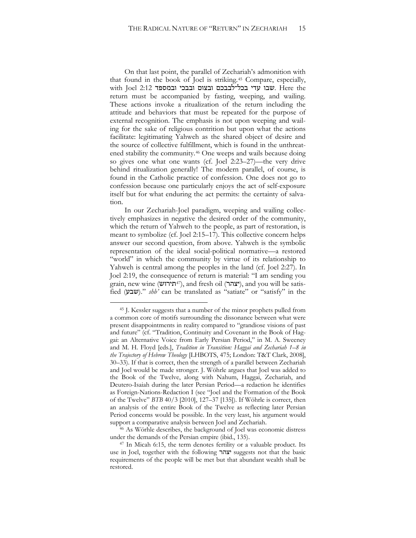On that last point, the parallel of Zechariah's admonition with that found in the book of Joel is striking.*4F* <sup>45</sup> Compare, especially, with Joel 2:12 שבו עדי בכל־לבבכם ובצום ובבכי ובמספד. Here the return must be accompanied by fasting, weeping, and wailing. These actions invoke a ritualization of the return including the attitude and behaviors that must be repeated for the purpose of external recognition. The emphasis is not upon weeping and wailing for the sake of religious contrition but upon what the actions facilitate: legitimating Yahweh as the shared object of desire and the source of collective fulfillment, which is found in the unthreatened stability the community.<sup>46</sup> One weeps and wails because doing so gives one what one wants (cf. Joel 2:23–27)—the very drive behind ritualization generally! The modern parallel, of course, is found in the Catholic practice of confession. One does not go to confession because one particularly enjoys the act of self-exposure itself but for what enduring the act permits: the certainty of salvation.

In our Zechariah-Joel paradigm, weeping and wailing collectively emphasizes in negative the desired order of the community, which the return of Yahweh to the people, as part of restoration, is meant to symbolize (cf. Joel 2:15–17). This collective concern helps answer our second question, from above. Yahweh is the symbolic representation of the ideal social-political normative—a restored "world" in which the community by virtue of its relationship to Yahweh is central among the peoples in the land (cf. Joel 2:27). In Joel 2:19, the consequence of return is material: "I am sending you grain, new wine (**יצהר**), and fresh oil (**יצהר)**, and you will be satisfied (שבע)." *shb*' can be translated as "satiate" or "satisfy" in the

 $\overline{a}$ 

<sup>46</sup> As Wörhle describes, the background of Joel was economic distress under the demands of the Persian empire (ibid., 135).

<sup>45</sup> J. Kessler suggests that a number of the minor prophets pulled from a common core of motifs surrounding the dissonance between what were present disappointments in reality compared to "grandiose visions of past and future" (cf. "Tradition, Continuity and Covenant in the Book of Haggai: an Alternative Voice from Early Persian Period," in M. A. Sweeney and M. H. Floyd [eds.], *Tradition in Transition: Haggai and Zechariah 1–8 in the Trajectory of Hebrew Theology* [LHBOTS, 475; London: T&T Clark, 2008], 30–33). If that is correct, then the strength of a parallel between Zechariah and Joel would be made stronger. J. Wöhrle argues that Joel was added to the Book of the Twelve, along with Nahum, Haggai, Zechariah, and Deutero-Isaiah during the later Persian Period—a redaction he identifies as Foreign-Nations-Redaction I (see "Joel and the Formation of the Book of the Twelve" *BTB* 40/3 [2010], 127–37 [135]). If Wöhrle is correct, then an analysis of the entire Book of the Twelve as reflecting later Persian Period concerns would be possible. In the very least, his argument would support a comparative analysis between Joel and Zechariah.

<sup>47</sup> In Micah 6:15, the term denotes fertility or a valuable product. Its use in Joel, together with the following יצהר suggests not that the basic requirements of the people will be met but that abundant wealth shall be restored.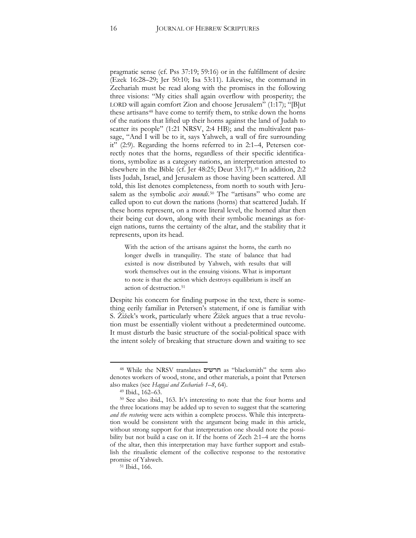pragmatic sense (cf. Pss 37:19; 59:16) or in the fulfillment of desire (Ezek 16:28–29; Jer 50:10; Isa 53:11). Likewise, the command in Zechariah must be read along with the promises in the following three visions: "My cities shall again overflow with prosperity; the LORD will again comfort Zion and choose Jerusalem" (1:17); "[B]ut these artisans<sup>[48](#page-16-0)</sup> have come to terrify them, to strike down the horns of the nations that lifted up their horns against the land of Judah to scatter its people" (1:21 NRSV, 2:4 HB); and the multivalent passage, "And I will be to it, says Yahweh, a wall of fire surrounding it" (2:9). Regarding the horns referred to in 2:1–4, Petersen correctly notes that the horns, regardless of their specific identifications, symbolize as a category nations, an interpretation attested to elsewhere in the Bible (cf. Jer 48:25; Deut 33:17).[49](#page-16-1) In addition, 2:2 lists Judah, Israel, and Jerusalem as those having been scattered. All told, this list denotes completeness, from north to south with Jerusalem as the symbolic *axis mundi*.[50](#page-16-2) The "artisans" who come are called upon to cut down the nations (horns) that scattered Judah. If these horns represent, on a more literal level, the horned altar then their being cut down, along with their symbolic meanings as foreign nations, turns the certainty of the altar, and the stability that it represents, upon its head.

With the action of the artisans against the horns, the earth no longer dwells in tranquility. The state of balance that had existed is now distributed by Yahweh, with results that will work themselves out in the ensuing visions. What is important to note is that the action which destroys equilibrium is itself an action of destruction.<sup>[51](#page-16-3)</sup>

Despite his concern for finding purpose in the text, there is something eerily familiar in Petersen's statement, if one is familiar with S. Žižek's work, particularly where Žižek argues that a true revolution must be essentially violent without a predetermined outcome. It must disturb the basic structure of the social-political space with the intent solely of breaking that structure down and waiting to see

<span id="page-16-0"></span><sup>48</sup> While the NRSV translates חרשים as "blacksmith" the term also denotes workers of wood, stone, and other materials, a point that Petersen also makes (see *Haggai and Zechariah 1–8*, 64).

<sup>49</sup> Ibid., 162–63.

<span id="page-16-2"></span><span id="page-16-1"></span><sup>50</sup> See also ibid., 163. It's interesting to note that the four horns and the three locations may be added up to seven to suggest that the scattering *and the restoring* were acts within a complete process. While this interpretation would be consistent with the argument being made in this article, without strong support for that interpretation one should note the possibility but not build a case on it. If the horns of Zech 2:1–4 are the horns of the altar, then this interpretation may have further support and establish the ritualistic element of the collective response to the restorative promise of Yahweh.

<span id="page-16-3"></span><sup>51</sup> Ibid., 166.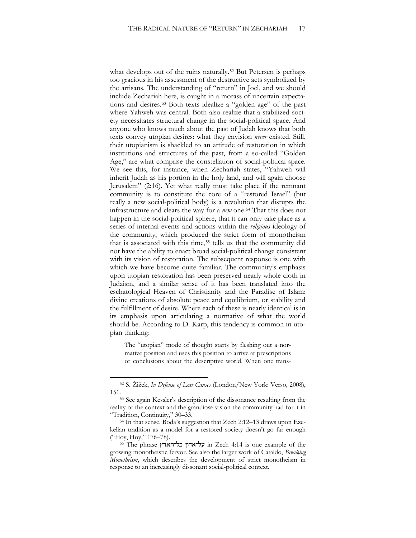what develops out of the ruins naturally.<sup>[52](#page-17-0)</sup> But Petersen is perhaps too gracious in his assessment of the destructive acts symbolized by the artisans. The understanding of "return" in Joel, and we should include Zechariah here, is caught in a morass of uncertain expectations and desires.[53](#page-17-1) Both texts idealize a "golden age" of the past where Yahweh was central. Both also realize that a stabilized society necessitates structural change in the social-political space. And anyone who knows much about the past of Judah knows that both texts convey utopian desires: what they envision *never* existed. Still, their utopianism is shackled to an attitude of restoration in which institutions and structures of the past, from a so-called "Golden Age," are what comprise the constellation of social-political space. We see this, for instance, when Zechariah states, "Yahweh will inherit Judah as his portion in the holy land, and will again choose Jerusalem" (2:16). Yet what really must take place if the remnant community is to constitute the core of a "restored Israel" (but really a new social-political body) is a revolution that disrupts the infrastructure and clears the way for a *new* one.[54](#page-17-2) That this does not happen in the social-political sphere, that it can only take place as a series of internal events and actions within the *religious* ideology of the community, which produced the strict form of monotheism that is associated with this time,<sup>[55](#page-17-3)</sup> tells us that the community did not have the ability to enact broad social-political change consistent with its vision of restoration. The subsequent response is one with which we have become quite familiar. The community's emphasis upon utopian restoration has been preserved nearly whole cloth in Judaism, and a similar sense of it has been translated into the eschatological Heaven of Christianity and the Paradise of Islam: divine creations of absolute peace and equilibrium, or stability and the fulfillment of desire. Where each of these is nearly identical is in its emphasis upon articulating a normative of what the world should be. According to D. Karp, this tendency is common in utopian thinking:

The "utopian" mode of thought starts by fleshing out a normative position and uses this position to arrive at prescriptions or conclusions about the descriptive world. When one trans-

<span id="page-17-0"></span><sup>52</sup> S. Žižek, *In Defense of Lost Causes* (London/New York: Verso, 2008), 151.<br><sup>53</sup> See again Kessler's description of the dissonance resulting from the

<span id="page-17-1"></span>reality of the context and the grandiose vision the community had for it in "Tradition, Continuity," 30–33.

<span id="page-17-2"></span><sup>54</sup> In that sense, Boda's suggestion that Zech 2:12–13 draws upon Ezekelian tradition as a model for a restored society doesn't go far enough ("Hoy, Hoy," 176–78).

<span id="page-17-3"></span><sup>55</sup> The phrase כל־הארץ על־אדון in Zech 4:14 is one example of the growing monotheistic fervor. See also the larger work of Cataldo, *Breaking Monotheism*, which describes the development of strict monotheism in response to an increasingly dissonant social-political context.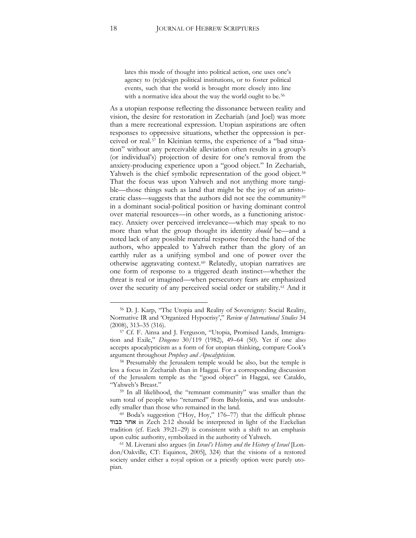lates this mode of thought into political action, one uses one's agency to (re)design political institutions, or to foster political events, such that the world is brought more closely into line with a normative idea about the way the world ought to be.<sup>[56](#page-18-0)</sup>

As a utopian response reflecting the dissonance between reality and vision, the desire for restoration in Zechariah (and Joel) was more than a mere recreational expression. Utopian aspirations are often responses to oppressive situations, whether the oppression is perceived or real.[57](#page-18-1) In Kleinian terms, the experience of a "bad situation" without any perceivable alleviation often results in a group's (or individual's) projection of desire for one's removal from the anxiety-producing experience upon a "good object." In Zechariah, Yahweh is the chief symbolic representation of the good object.<sup>[58](#page-18-2)</sup> That the focus was upon Yahweh and not anything more tangible—those things such as land that might be the joy of an aristo-cratic class—suggests that the authors did not see the community<sup>[59](#page-18-3)</sup> in a dominant social-political position or having dominant control over material resources—in other words, as a functioning aristocracy. Anxiety over perceived irrelevance—which may speak to no more than what the group thought its identity *should* be—and a noted lack of any possible material response forced the hand of the authors, who appealed to Yahweh rather than the glory of an earthly ruler as a unifying symbol and one of power over the otherwise aggravating context.[60](#page-18-4) Relatedly, utopian narratives are one form of response to a triggered death instinct—whether the threat is real or imagined—when persecutory fears are emphasized over the security of any perceived social order or stability.[61](#page-18-5) And it

<span id="page-18-0"></span><sup>56</sup> D. J. Karp, "The Utopia and Reality of Sovereignty: Social Reality, Normative IR and 'Organized Hypocrisy'," *Review of International Studies* 34 (2008), 313–35 (316).

<span id="page-18-1"></span><sup>57</sup> Cf. F. Ainsa and J. Ferguson, "Utopia, Promised Lands, Immigration and Exile," *Diogenes* 30/119 (1982), 49–64 (50). Yet if one also accepts apocalypticism as a form of for utopian thinking, compare Cook's argument throughout *Prophecy and Apocalypticism*.

<span id="page-18-2"></span><sup>58</sup> Presumably the Jerusalem temple would be also, but the temple is less a focus in Zechariah than in Haggai. For a corresponding discussion of the Jerusalem temple as the "good object" in Haggai, see Cataldo, "Yahweh's Breast."

<span id="page-18-3"></span><sup>59</sup> In all likelihood, the "remnant community" was smaller than the sum total of people who "returned" from Babylonia, and was undoubtedly smaller than those who remained in the land.

<span id="page-18-4"></span><sup>60</sup> Boda's suggestion ("Hoy, Hoy," 176–77) that the difficult phrase כבוד אחר in Zech 2:12 should be interpreted in light of the Ezekelian tradition (cf. Ezek 39:21–29) is consistent with a shift to an emphasis upon cultic authority, symbolized in the authority of Yahweh.

<span id="page-18-5"></span><sup>61</sup> M. Liverani also argues (in *Israel's History and the History of Israel* [London/Oakville, CT: Equinox, 2005], 324) that the visions of a restored society under either a royal option or a priestly option were purely utopian.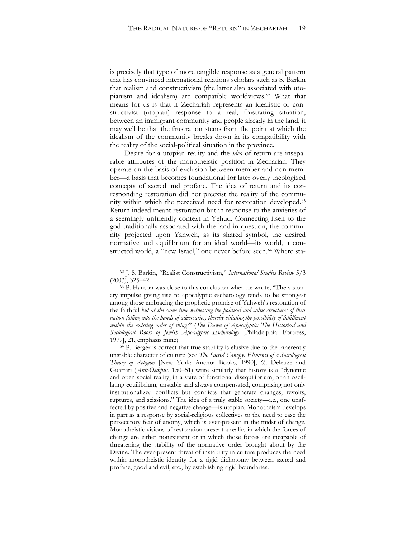is precisely that type of more tangible response as a general pattern that has convinced international relations scholars such as S. Barkin that realism and constructivism (the latter also associated with utopianism and idealism) are compatible worldviews.[62](#page-19-0) What that means for us is that if Zechariah represents an idealistic or constructivist (utopian) response to a real, frustrating situation, between an immigrant community and people already in the land, it may well be that the frustration stems from the point at which the idealism of the community breaks down in its compatibility with the reality of the social-political situation in the province.

Desire for a utopian reality and the *idea* of return are inseparable attributes of the monotheistic position in Zechariah. They operate on the basis of exclusion between member and non-member—a basis that becomes foundational for later overly theologized concepts of sacred and profane. The idea of return and its corresponding restoration did not preexist the reality of the community within which the perceived need for restoration developed.[63](#page-19-1) Return indeed meant restoration but in response to the anxieties of a seemingly unfriendly context in Yehud. Connecting itself to the god traditionally associated with the land in question, the community projected upon Yahweh, as its shared symbol, the desired normative and equilibrium for an ideal world—its world, a constructed world, a "new Israel," one never before seen.[64](#page-19-2) Where sta-

<span id="page-19-0"></span><sup>62</sup> J. S. Barkin, "Realist Constructivism," *International Studies Review* 5/3 (2003), 325–42.

<span id="page-19-1"></span><sup>63</sup> P. Hanson was close to this conclusion when he wrote, "The visionary impulse giving rise to apocalyptic eschatology tends to be strongest among those embracing the prophetic promise of Yahweh's restoration of the faithful *but at the same time witnessing the political and cultic structures of their nation falling into the hands of adversaries, thereby vitiating the possibility of fulfillment within the existing order of things*" (*The Dawn of Apocalyptic: The Historical and Sociological Roots of Jewish Apocalyptic Eschatology* [Philadelphia: Fortress, 1979], 21, emphasis mine).

<span id="page-19-2"></span><sup>64</sup> P. Berger is correct that true stability is elusive due to the inherently unstable character of culture (see *The Sacred Canopy: Elements of a Sociological Theory of Religion* [New York: Anchor Books, 1990], 6). Deleuze and Guattari (*Anti-Oedipus*, 150–51) write similarly that history is a "dynamic and open social reality, in a state of functional disequilibrium, or an oscillating equilibrium, unstable and always compensated, comprising not only institutionalized conflicts but conflicts that generate changes, revolts, ruptures, and scissions." The idea of a truly stable society—i.e., one unaffected by positive and negative change—is utopian. Monotheism develops in part as a response by social-religious collectives to the need to ease the persecutory fear of anomy, which is ever-present in the midst of change. Monotheistic visions of restoration present a reality in which the forces of change are either nonexistent or in which those forces are incapable of threatening the stability of the normative order brought about by the Divine. The ever-present threat of instability in culture produces the need within monotheistic identity for a rigid dichotomy between sacred and profane, good and evil, etc., by establishing rigid boundaries.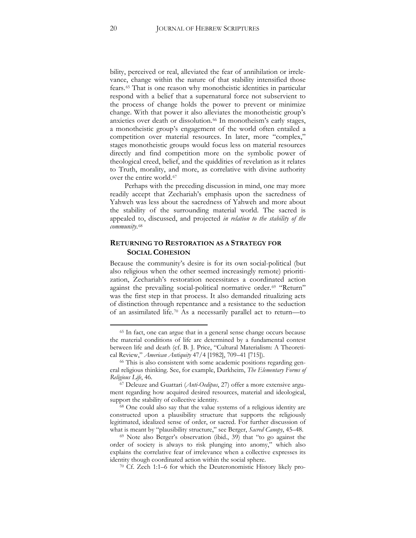bility, perceived or real, alleviated the fear of annihilation or irrelevance, change within the nature of that stability intensified those fears.[65](#page-20-0) That is one reason why monotheistic identities in particular respond with a belief that a supernatural force not subservient to the process of change holds the power to prevent or minimize change. With that power it also alleviates the monotheistic group's anxieties over death or dissolution.<sup>[66](#page-20-1)</sup> In monotheism's early stages, a monotheistic group's engagement of the world often entailed a competition over material resources. In later, more "complex," stages monotheistic groups would focus less on material resources directly and find competition more on the symbolic power of theological creed, belief, and the quiddities of revelation as it relates to Truth, morality, and more, as correlative with divine authority over the entire world.<sup>[67](#page-20-2)</sup>

Perhaps with the preceding discussion in mind, one may more readily accept that Zechariah's emphasis upon the sacredness of Yahweh was less about the sacredness of Yahweh and more about the stability of the surrounding material world. The sacred is appealed to, discussed, and projected *in relation to the stability of the community*.[68](#page-20-3)

#### **RETURNING TO RESTORATION AS A STRATEGY FOR SOCIAL COHESION**

Because the community's desire is for its own social-political (but also religious when the other seemed increasingly remote) prioritization, Zechariah's restoration necessitates a coordinated action against the prevailing social-political normative order.<sup>[69](#page-20-4)</sup> "Return" was the first step in that process. It also demanded ritualizing acts of distinction through repentance and a resistance to the seduction of an assimilated life.[70](#page-20-5) As a necessarily parallel act to return—to

<sup>70</sup> Cf. Zech 1:1–6 for which the Deuteronomistic History likely pro-

<span id="page-20-0"></span><sup>65</sup> In fact, one can argue that in a general sense change occurs because the material conditions of life are determined by a fundamental contest between life and death (cf. B. J. Price, "Cultural Materialism: A Theoretical Review," *American Antiquity* 47/4 [1982], 709–41 [715]).

<span id="page-20-1"></span><sup>&</sup>lt;sup>66</sup> This is also consistent with some academic positions regarding general religious thinking. See, for example, Durkheim, *The Elementary Forms of Religious Life*, 46.

<span id="page-20-2"></span><sup>67</sup> Deleuze and Guattari (*Anti-Oedipus*, 27) offer a more extensive argument regarding how acquired desired resources, material and ideological, support the stability of collective identity.

<span id="page-20-3"></span><sup>68</sup> One could also say that the value systems of a religious identity are constructed upon a plausibility structure that supports the religiously legitimated, idealized sense of order, or sacred. For further discussion of what is meant by "plausibility structure," see Berger, *Sacred Canopy*, 45–48.

<span id="page-20-5"></span><span id="page-20-4"></span><sup>69</sup> Note also Berger's observation (ibid., 39) that "to go against the order of society is always to risk plunging into anomy," which also explains the correlative fear of irrelevance when a collective expresses its identity though coordinated action within the social sphere.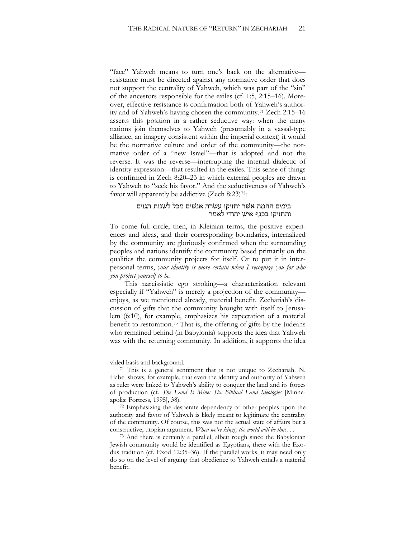"face" Yahweh means to turn one's back on the alternative resistance must be directed against any normative order that does not support the centrality of Yahweh, which was part of the "sin" of the ancestors responsible for the exiles (cf. 1:5, 2:15–16). Moreover, effective resistance is confirmation both of Yahweh's authority and of Yahweh's having chosen the community.[71](#page-21-0) Zech 2:15–16 asserts this position in a rather seductive way: when the many nations join themselves to Yahweh (presumably in a vassal-type alliance, an imagery consistent within the imperial context) it would be the normative culture and order of the community—the normative order of a "new Israel"—that is adopted and not the reverse. It was the reverse—interrupting the internal dialectic of identity expression—that resulted in the exiles. This sense of things is confirmed in Zech 8:20–23 in which external peoples are drawn to Yahweh to "seek his favor." And the seductiveness of Yahweh's favor will apparently be addictive (Zech 8:23)<sup>[72](#page-21-1)</sup>:

#### בימים ההמה אשׁר יחזיקו עשׂרה אנשׁים מכל לשׁנות הגוים והחזיקו בכנף אישׁ יהודי לאמר

To come full circle, then, in Kleinian terms, the positive experiences and ideas, and their corresponding boundaries, internalized by the community are gloriously confirmed when the surrounding peoples and nations identify the community based primarily on the qualities the community projects for itself. Or to put it in interpersonal terms, *your identity is more certain when I recognize you for who you project yourself to be*.

This narcissistic ego stroking—a characterization relevant especially if "Yahweh" is merely a projection of the community enjoys, as we mentioned already, material benefit. Zechariah's discussion of gifts that the community brought with itself to Jerusalem (6:10), for example, emphasizes his expectation of a material benefit to restoration.<sup>73</sup> That is, the offering of gifts by the Judeans who remained behind (in Babylonia) supports the idea that Yahweh was with the returning community. In addition, it supports the idea

vided basis and background.

<span id="page-21-0"></span><sup>71</sup> This is a general sentiment that is not unique to Zechariah. N. Habel shows, for example, that even the identity and authority of Yahweh as ruler were linked to Yahweh's ability to conquer the land and its forces of production (cf. *The Land Is Mine: Six Biblical Land Ideologies* [Minneapolis: Fortress, 1995], 38).

<span id="page-21-1"></span><sup>72</sup> Emphasizing the desperate dependency of other peoples upon the authority and favor of Yahweh is likely meant to legitimate the centrality of the community. Of course, this was not the actual state of affairs but a constructive, utopian argument. *When we're kings, the world will be thus. . .*

<sup>73</sup> And there is certainly a parallel, albeit rough since the Babylonian Jewish community would be identified as Egyptians, there with the Exodus tradition (cf. Exod 12:35–36). If the parallel works, it may need only do so on the level of arguing that obedience to Yahweh entails a material benefit.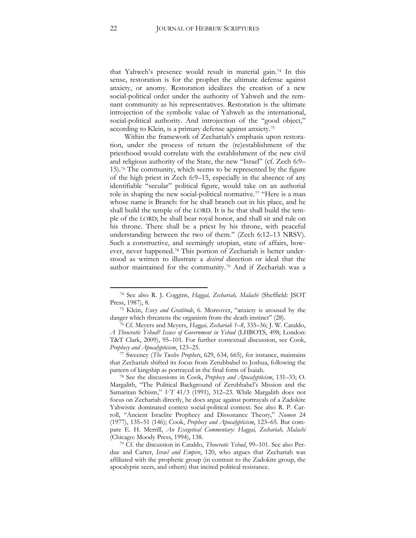that Yahweh's presence would result in material gain.[74](#page-22-0) In this sense, restoration is for the prophet the ultimate defense against anxiety, or anomy. Restoration idealizes the creation of a new social-political order under the authority of Yahweh and the remnant community as his representatives. Restoration is the ultimate introjection of the symbolic value of Yahweh as the international, social-political authority. And introjection of the "good object," according to Klein, is a primary defense against anxiety.[75](#page-22-1)

Within the framework of Zechariah's emphasis upon restoration, under the process of return the (re)establishment of the priesthood would correlate with the establishment of the new civil and religious authority of the State, the new "Israel" (cf. Zech 6:9– 15).[76](#page-22-2) The community, which seems to be represented by the figure of the high priest in Zech 6:9–15, especially in the absence of any identifiable "secular" political figure, would take on an authorial role in shaping the new social-political normative.[77](#page-22-3) "Here is a man whose name is Branch: for he shall branch out in his place, and he shall build the temple of the LORD. It is he that shall build the temple of the LORD; he shall bear royal honor, and shall sit and rule on his throne. There shall be a priest by his throne, with peaceful understanding between the two of them." (Zech 6:12–13 NRSV). Such a constructive, and seemingly utopian, state of affairs, however, never happened.[78](#page-22-4) This portion of Zechariah is better understood as written to illustrate a *desired* direction or ideal that the author maintained for the community.[79](#page-22-5) And if Zechariah was a

<span id="page-22-0"></span><sup>74</sup> See also R. J. Coggins, *Haggai, Zechariah, Malachi* (Sheffield: JSOT Press, 1987), 8.

<span id="page-22-1"></span><sup>75</sup> Klein, *Envy and Gratitude*, 6. Moreover, "anxiety is aroused by the danger which threatens the organism from the death instinct" (28).

<span id="page-22-2"></span><sup>76</sup> Cf. Meyers and Meyers, *Haggai, Zechariah 1–8*, 335–36; J. W. Cataldo, *A Theocratic Yehud? Issues of Government in Yehud* (LHBOTS, 498; London: T&T Clark, 2009), 95–101. For further contextual discussion, see Cook, *Prophecy and Apocalypticism*, 123–25.

<span id="page-22-3"></span><sup>77</sup> Sweeney (*The Twelve Prophets*, 629, 634, 665), for instance, maintains that Zechariah shifted its focus from Zerubbabel to Joshua, following the pattern of kingship as portrayed in the final form of Isaiah.

<span id="page-22-4"></span><sup>78</sup> See the discussions in Cook, *Prophecy and Apocalypticism*, 131–33; O. Margalith, "The Political Background of Zerubbabel's Mission and the Samaritan Schism," *VT* 41/3 (1991), 312–23. While Margalith does not focus on Zechariah directly, he does argue against portrayals of a Zadokite Yahwistic dominated context social-political context. See also R. P. Carroll, "Ancient Israelite Prophecy and Dissonance Theory," *Numen* 24 (1977), 135–51 (146); Cook, *Prophecy and Apocalypticism*, 123–65. But compare E. H. Merrill, *An Exegetical Commentary: Haggai, Zechariah, Malachi* (Chicago: Moody Press, 1994), 138.

<span id="page-22-5"></span><sup>79</sup> Cf. the discussion in Cataldo, *Theocratic Yehud*, 99–101. See also Perdue and Carter, *Israel and Empire*, 120, who argues that Zechariah was affiliated with the prophetic group (in contrast to the Zadokite group, the apocalyptic seers, and others) that incited political resistance.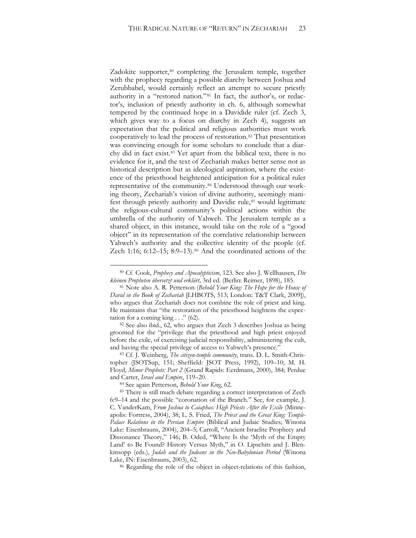Zadokite supporter,<sup>[80](#page-23-0)</sup> completing the Jerusalem temple, together with the prophecy regarding a possible diarchy between Joshua and Zerubbabel, would certainly reflect an attempt to secure priestly authority in a "restored nation."[81](#page-23-1) In fact, the author's, or redactor's, inclusion of priestly authority in ch. 6, although somewhat tempered by the continued hope in a Davidide ruler (cf. Zech 3, which gives way to a focus on diarchy in Zech 4), suggests an expectation that the political and religious authorities must work cooperatively to lead the process of restoration.<sup>[82](#page-23-2)</sup> That presentation was convincing enough for some scholars to conclude that a diarchy did in fact exist.[83](#page-23-3) Yet apart from the biblical text, there is no evidence for it, and the text of Zechariah makes better sense not as historical description but as ideological aspiration, where the existence of the priesthood heightened anticipation for a political ruler representative of the community.[84](#page-23-4) Understood through our working theory, Zechariah's vision of divine authority, seemingly mani-fest through priestly authority and Davidic rule,<sup>[85](#page-23-5)</sup> would legitimate the religious-cultural community's political actions within the umbrella of the authority of Yahweh. The Jerusalem temple as a shared object, in this instance, would take on the role of a "good object" in its representation of the correlative relationship between Yahweh's authority and the collective identity of the people (cf. Zech 1:16; 6:12–15; 8:9–13).<sup>[86](#page-23-6)</sup> And the coordinated actions of the

<span id="page-23-0"></span><sup>80</sup> Cf. Cook, *Prophecy and Apocalypticism*, 123. See also J. Wellhausen, *Die kleinen Propheten übersetzt und erklärt*, 3rd ed. (Berlin: Reimer, 1898), 185.

<span id="page-23-1"></span><sup>81</sup> Note also A. R. Petterson (*Behold Your King: The Hope for the House of David in the Book of Zechariah* [LHBOTS, 513; London: T&T Clark, 2009]), who argues that Zechariah does not combine the role of priest and king. He maintains that "the restoration of the priesthood heightens the expectation for a coming king  $\ldots$  " (62).

<span id="page-23-2"></span><sup>82</sup> See also ibid., 62, who argues that Zech 3 describes Joshua as being groomed for the "privilege that the priesthood and high priest enjoyed before the exile, of exercising judicial responsibility, administering the cult, and having the special privilege of access to Yahweh's presence."

<span id="page-23-3"></span><sup>83</sup> Cf. J. Weinberg, *The citizen-temple community*, trans. D. L. Smith-Christopher (JSOTSup, 151; Sheffield: JSOT Press, 1992), 109–10; M. H. Floyd, *Minor Prophets: Part 2* (Grand Rapids: Eerdmans, 2000), 384; Perdue and Carter, *Israel and Empire*, 119–20.

<sup>84</sup> See again Petterson, *Behold Your King*, 62.

<span id="page-23-5"></span><span id="page-23-4"></span><sup>85</sup> There is still much debate regarding a correct interpretation of Zech 6:9–14 and the possible "coronation of the Branch." See, for example, J. C. VanderKam, *From Joshua to Caiaphas: High Priests After the Exile* (Minneapolis: Fortress, 2004), 38; L. S. Fried, *The Priest and the Great King: Temple-Palace Relations in the Persian Empire* (Biblical and Judaic Studies; Winona Lake: Eisenbrauns, 2004), 204–5; Carroll, "Ancient Israelite Prophecy and Dissonance Theory," 146; B. Oded, "Where Is the 'Myth of the Empty Land' to Be Found? History Versus Myth," in O. Lipschits and J. Blenkinsopp (eds.), *Judah and the Judeans in the Neo-Babylonian Period* (Winona Lake, IN: Eisenbrauns, 2003), 62.

<span id="page-23-6"></span><sup>86</sup> Regarding the role of the object in object-relations of this fashion,